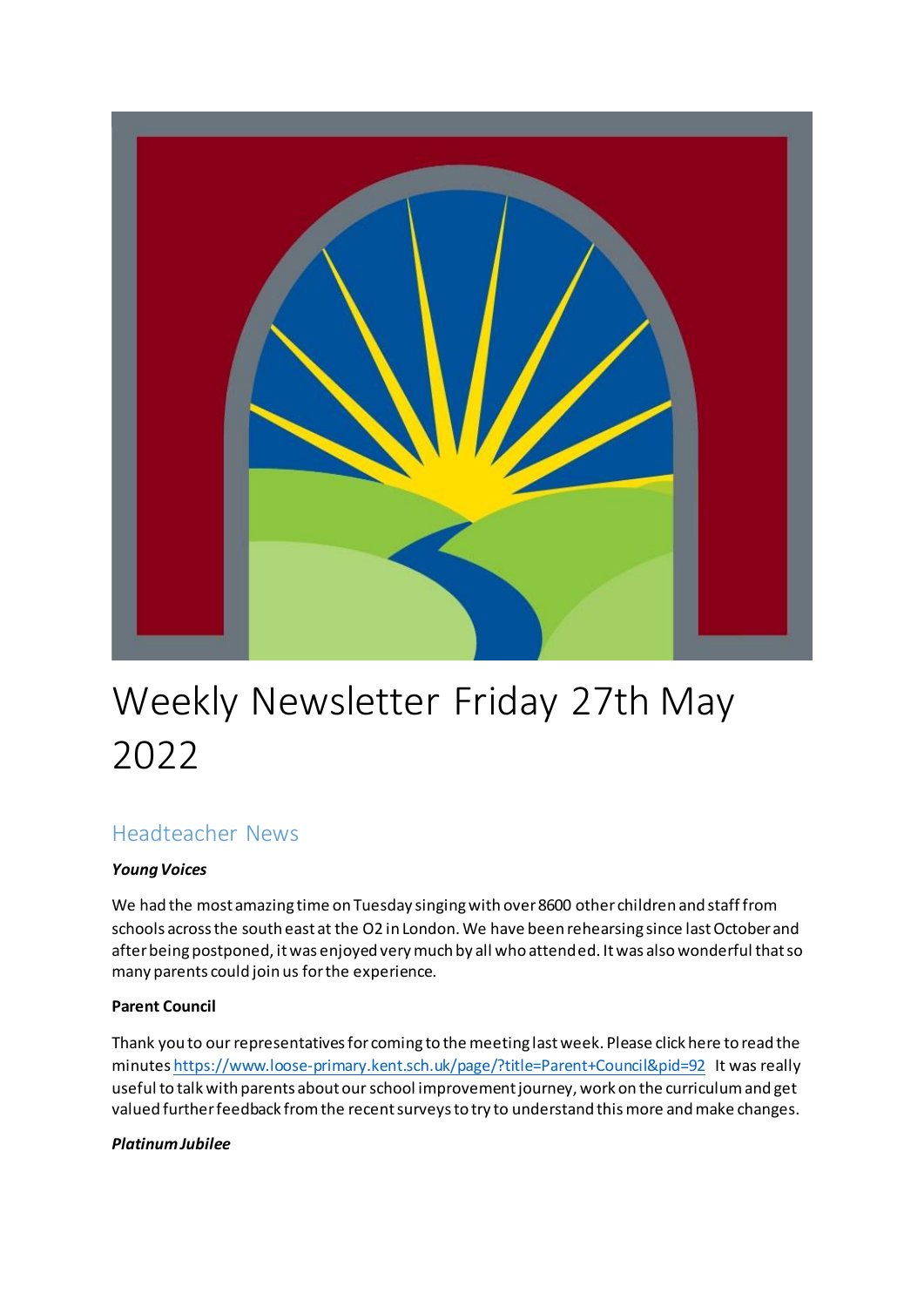

# Weekly Newsletter Friday 27th May 2022

# Headteacher News

#### *Young Voices*

We had the most amazing time on Tuesday singing with over 8600 other children and staff from schools across the south east at the O2 in London. We have been rehearsing since last October and after being postponed, it was enjoyed very much by all who attended. It was also wonderful that so many parents could join us for the experience.

#### **Parent Council**

Thank you to our representatives for coming to the meeting last week. Please click here to read the minute[s https://www.loose-primary.kent.sch.uk/page/?title=Parent+Council&pid=92](https://www.loose-primary.kent.sch.uk/page/?title=Parent+Council&pid=92) It was really useful to talk with parents about our school improvement journey, work on the curriculum and get valued further feedback from the recent surveys to try to understand this more and make changes.

#### *Platinum Jubilee*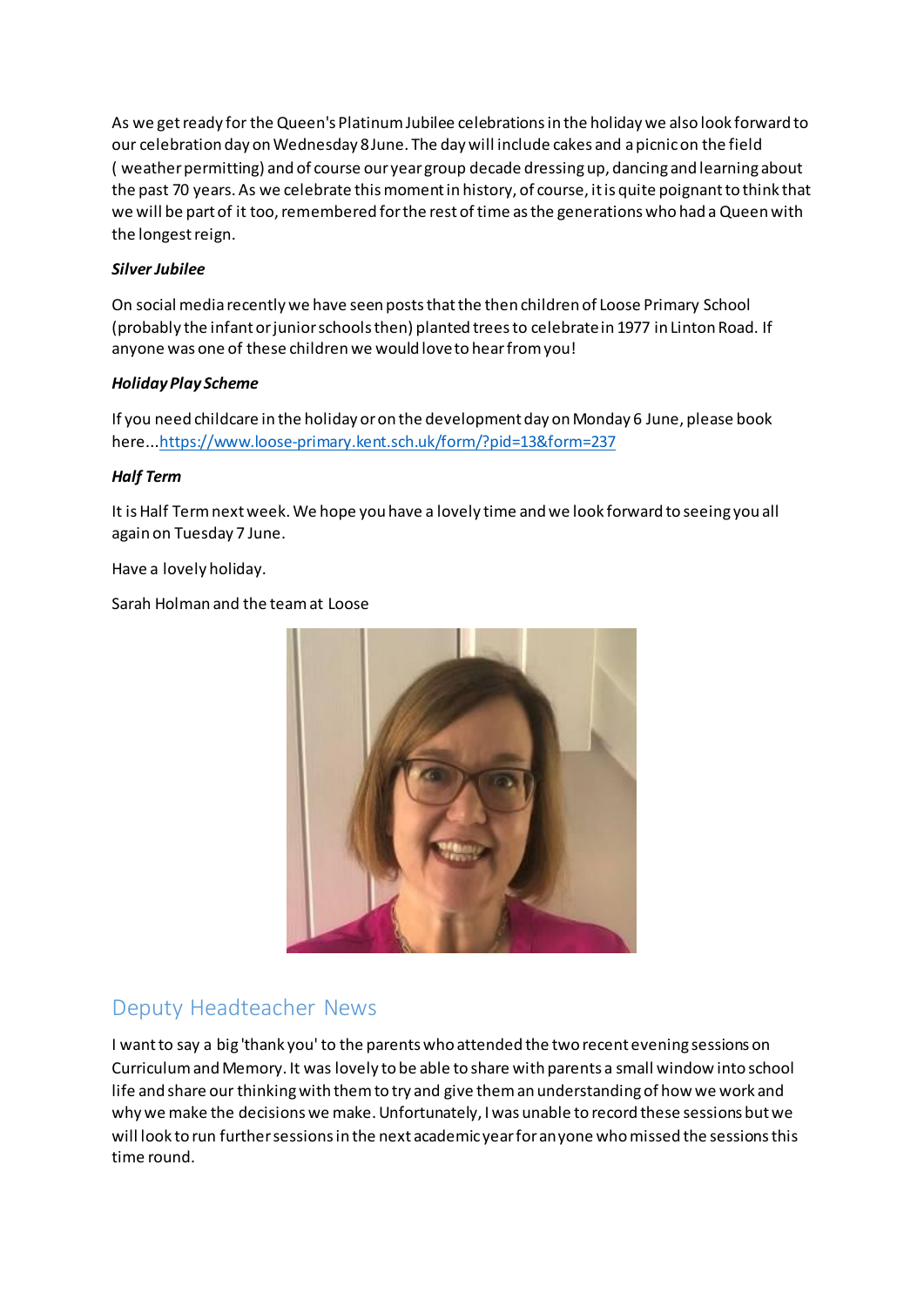As we get ready for the Queen's Platinum Jubilee celebrations in the holiday we also look forward to our celebration day on Wednesday 8 June. The day will include cakes and a picnic on the field ( weather permitting) and of course our year group decade dressing up, dancing and learning about the past 70 years. As we celebrate this moment in history, of course, it is quite poignant to think that we will be part of it too, remembered for the rest of time as the generations who had a Queen with the longest reign.

#### *Silver Jubilee*

On social media recently we have seen posts that the then children of Loose Primary School (probably the infant or junior schools then) planted trees to celebrate in 1977 in Linton Road. If anyone was one of these children we would love to hear from you!

#### *Holiday Play Scheme*

If you need childcare in the holiday or on the development day on Monday 6 June, please book here.[..https://www.loose-primary.kent.sch.uk/form/?pid=13&form=237](https://www.loose-primary.kent.sch.uk/form/?pid=13&form=237)

#### *Half Term*

It is Half Term next week. We hope you have a lovely time and we look forward to seeing you all again on Tuesday 7 June.

Have a lovely holiday.

Sarah Holman and the team at Loose



# Deputy Headteacher News

I want to say a big 'thank you' to the parents who attended the two recent evening sessions on Curriculum and Memory. It was lovely to be able to share with parents a small window into school life and share our thinking with them to try and give them an understanding of how we work and why we make the decisions we make. Unfortunately, I was unable to record these sessions but we will look to run further sessions in the next academic year for anyone who missed the sessions this time round.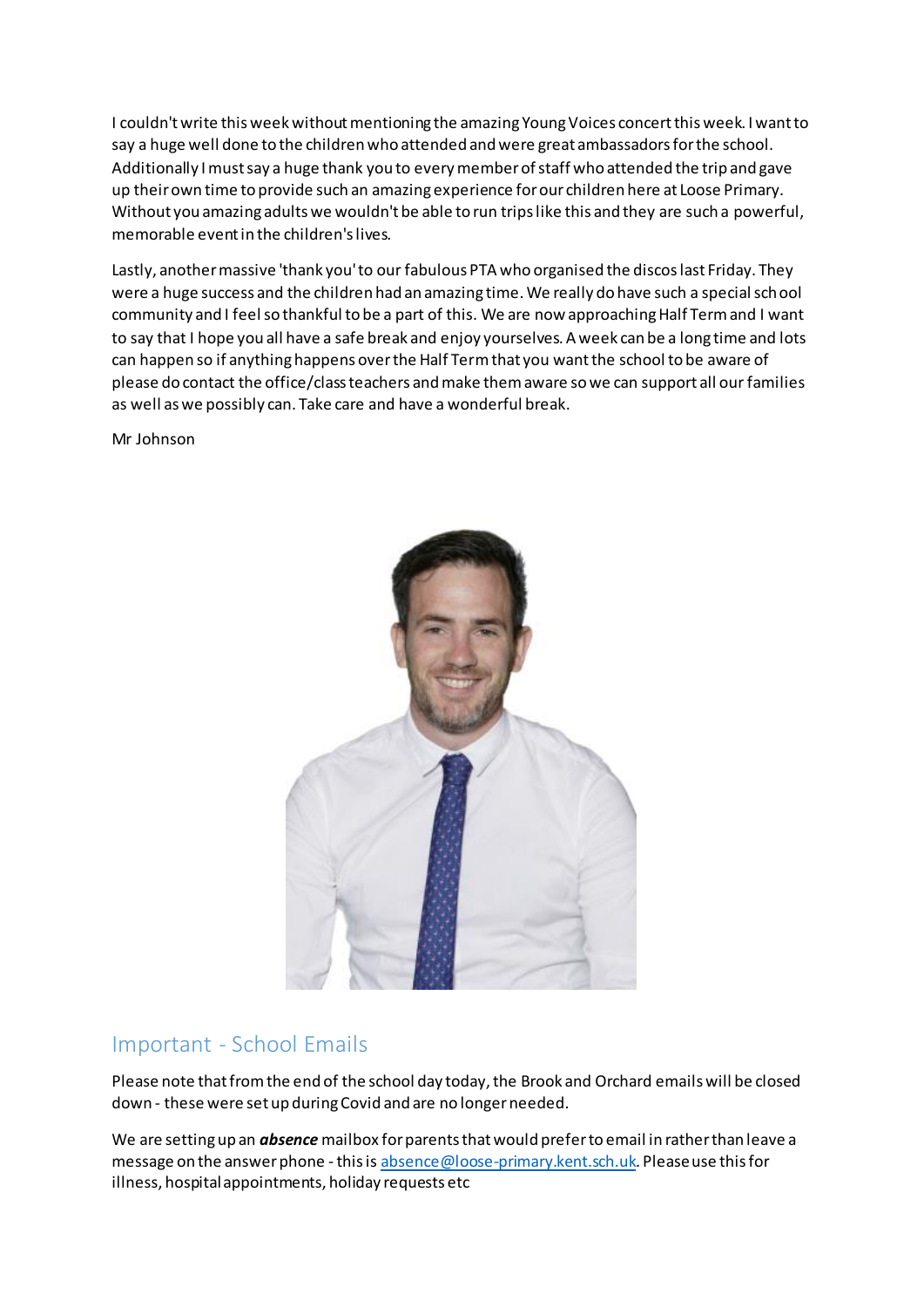I couldn't write this week without mentioning the amazing Young Voices concert this week. I want to say a huge well done to the children who attended and were great ambassadors for the school. Additionally I must say a huge thank you to every member of staff who attended the trip and gave up their own time to provide such an amazing experience for our children here at Loose Primary. Without you amazing adults we wouldn't be able to run trips like this and they are such a powerful, memorable event in the children's lives.

Lastly, another massive 'thank you' to our fabulous PTA who organised the discos last Friday. They were a huge success and the children had an amazing time. We really do have such a special school community and I feel so thankful to be a part of this. We are now approaching Half Term and I want to say that I hope you all have a safe break and enjoy yourselves. A week can be a long time and lots can happen so if anything happens over the Half Term that you want the school to be aware of please do contact the office/class teachers and make them aware so we can support all our families as well as we possibly can. Take care and have a wonderful break.

Mr Johnson



## Important - School Emails

Please note that from the end of the school day today, the Brook and Orchard emails will be closed down - these were set up during Covid and are no longer needed.

We are setting up an *absence* mailbox for parents that would prefer to email in rather than leave a message on the answer phone - this i[s absence@loose-primary.kent.sch.uk](mailto:absence@loose-primary.kent.sch.uk). Please use this for illness, hospital appointments, holiday requests etc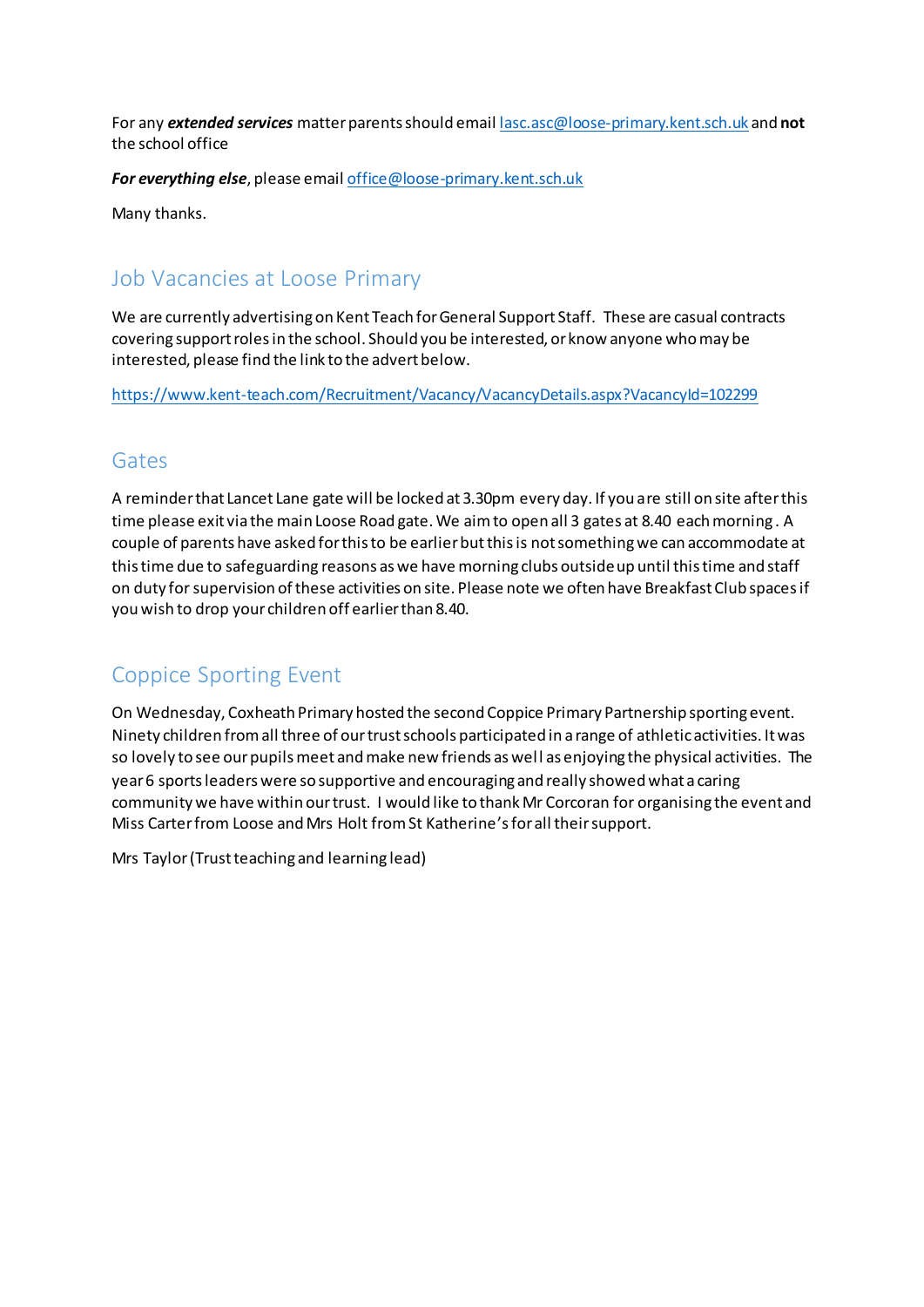For any *extended services* matter parents should emai[l lasc.asc@loose-primary.kent.sch.uk](mailto:lasc.asc@loose-primary.kent.sch.uk) and **not** the school office

*For everything else*, please emai[l office@loose-primary.kent.sch.uk](mailto:office@loose-primary.kent.sch.uk)

Many thanks.

## Job Vacancies at Loose Primary

We are currently advertising on Kent Teach for General Support Staff. These are casual contracts covering support roles in the school. Should you be interested, or know anyone who may be interested, please find the link to the advert below.

<https://www.kent-teach.com/Recruitment/Vacancy/VacancyDetails.aspx?VacancyId=102299>

## Gates

A reminder that Lancet Lane gate will be locked at 3.30pm every day. If you are still on site after this time please exit via the main Loose Road gate. We aim to open all 3 gates at 8.40 each morning . A couple of parents have asked for this to be earlier but this is not something we can accommodate at this time due to safeguarding reasons as we have morning clubs outside up until this time and staff on duty for supervision of these activities on site. Please note we often have Breakfast Club spaces if you wish to drop your children off earlier than 8.40.

# Coppice Sporting Event

On Wednesday, Coxheath Primary hosted the second Coppice Primary Partnership sporting event. Ninety children from all three of our trust schools participated in a range of athletic activities. It was so lovely to see our pupils meet and make new friends as well as enjoying the physical activities. The year 6 sports leaders were so supportive and encouraging and really showed what a caring community we have within our trust. I would like to thank Mr Corcoran for organising the event and Miss Carter from Loose and Mrs Holt from St Katherine's for all their support.

Mrs Taylor (Trust teaching and learning lead)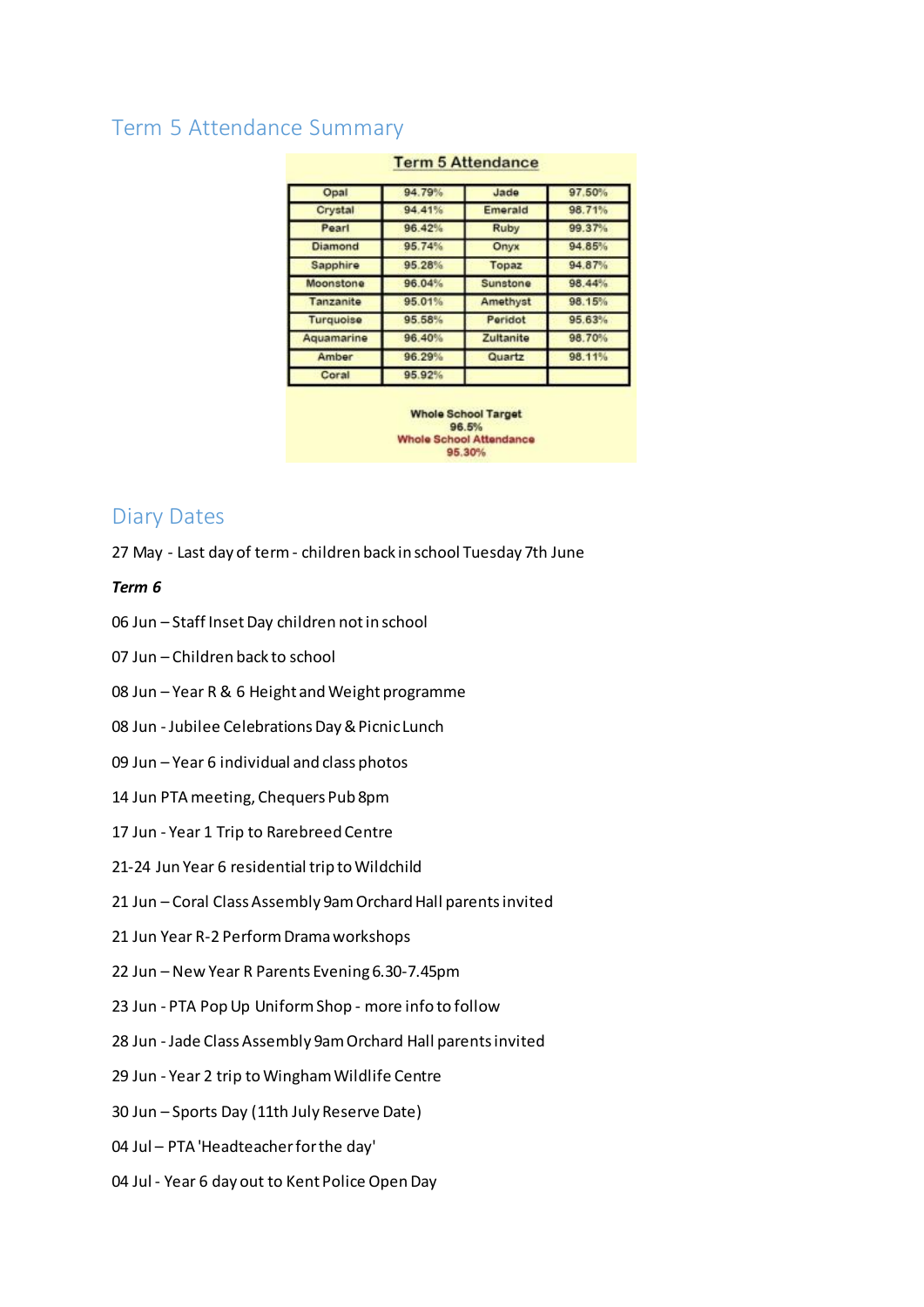## Term 5 Attendance Summary

| Opal             | 94.79% | Jade      | 97.50% |
|------------------|--------|-----------|--------|
| Crystal          | 94.41% | Emerald   | 98.71% |
| Pearl            | 96.42% | Ruby      | 99.37% |
| <b>Diamond</b>   | 95.74% | Onyx      | 94.85% |
| Sapphire         | 95.28% | Topaz     | 94.87% |
| Moonstone        | 96.04% | Sunstone  | 98.44% |
| Tanzanite        | 95.01% | Amethyst  | 98.15% |
| <b>Turquoise</b> | 95.58% | Peridot   | 95.63% |
| Aquamarine       | 96.40% | Zultanite | 98.70% |
| Amber            | 96.29% | Quartz    | 98.11% |
| Coral            | 95.92% |           |        |

#### **Term 5 Attendance**

**Whole School Target** 96.5% **Whole School Attendance** 95.30%

## Diary Dates

27 May - Last day of term - children back in school Tuesday 7th June

#### *Term 6*

- 06 Jun Staff Inset Day children not in school
- 07 Jun Children back to school
- 08 Jun Year R & 6 Height and Weight programme
- 08 Jun Jubilee Celebrations Day & Picnic Lunch
- 09 Jun Year 6 individual and class photos
- 14 Jun PTA meeting, Chequers Pub 8pm
- 17 Jun Year 1 Trip to Rarebreed Centre
- 21-24 Jun Year 6 residential trip to Wildchild
- 21 Jun Coral Class Assembly 9am Orchard Hall parents invited
- 21 Jun Year R-2 Perform Drama workshops
- 22 Jun New Year R Parents Evening 6.30-7.45pm
- 23 Jun PTA Pop Up Uniform Shop more info to follow
- 28 Jun Jade Class Assembly 9am Orchard Hall parents invited
- 29 Jun Year 2 trip to Wingham Wildlife Centre
- 30 Jun Sports Day (11th July Reserve Date)
- 04 Jul PTA 'Headteacher for the day'
- 04 Jul Year 6 day out to Kent Police Open Day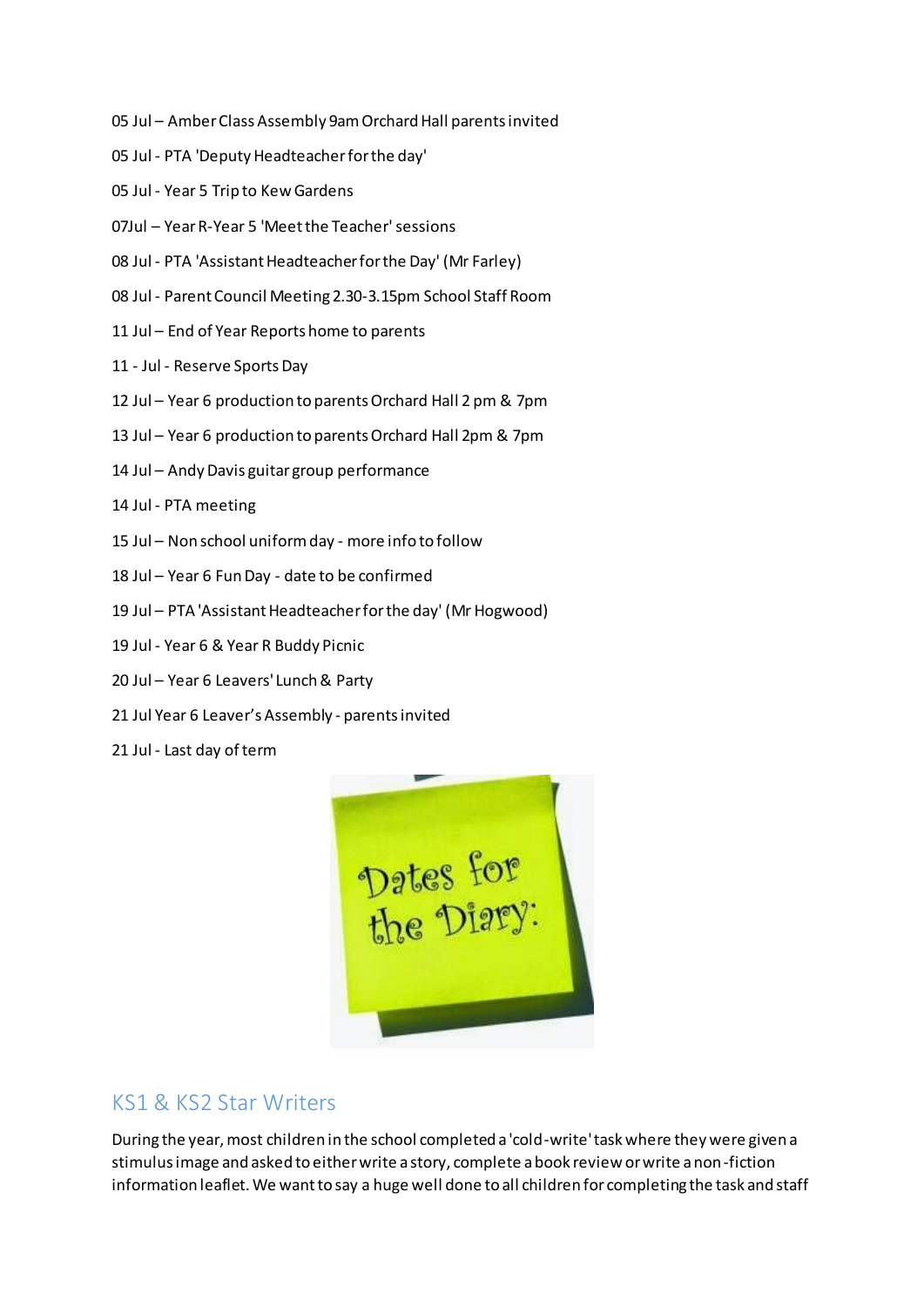- 05 Jul Amber Class Assembly 9am Orchard Hall parents invited
- 05 Jul PTA 'Deputy Headteacher for the day'
- 05 Jul Year 5 Trip to Kew Gardens
- 07Jul Year R-Year 5 'Meet the Teacher' sessions
- 08 Jul PTA 'Assistant Headteacher for the Day' (Mr Farley)
- 08 Jul Parent Council Meeting 2.30-3.15pm School Staff Room
- 11 Jul End of Year Reports home to parents
- 11 Jul Reserve Sports Day
- 12 Jul Year 6 production to parents Orchard Hall 2 pm & 7pm
- 13 Jul Year 6 production to parents Orchard Hall 2pm & 7pm
- 14 Jul Andy Davis guitar group performance
- 14 Jul PTA meeting
- 15 Jul Non school uniform day more info to follow
- 18 Jul Year 6 Fun Day date to be confirmed
- 19 Jul PTA 'Assistant Headteacher for the day' (Mr Hogwood)
- 19 Jul Year 6 & Year R Buddy Picnic
- 20 Jul Year 6 Leavers' Lunch & Party
- 21 Jul Year 6 Leaver's Assembly parents invited
- 21 Jul Last day of term



## KS1 & KS2 Star Writers

During the year, most children in the school completed a 'cold-write' task where they were given a stimulus image and asked to either write a story, complete a book review or write a non-fiction information leaflet. We want to say a huge well done to all children for completing the task and staff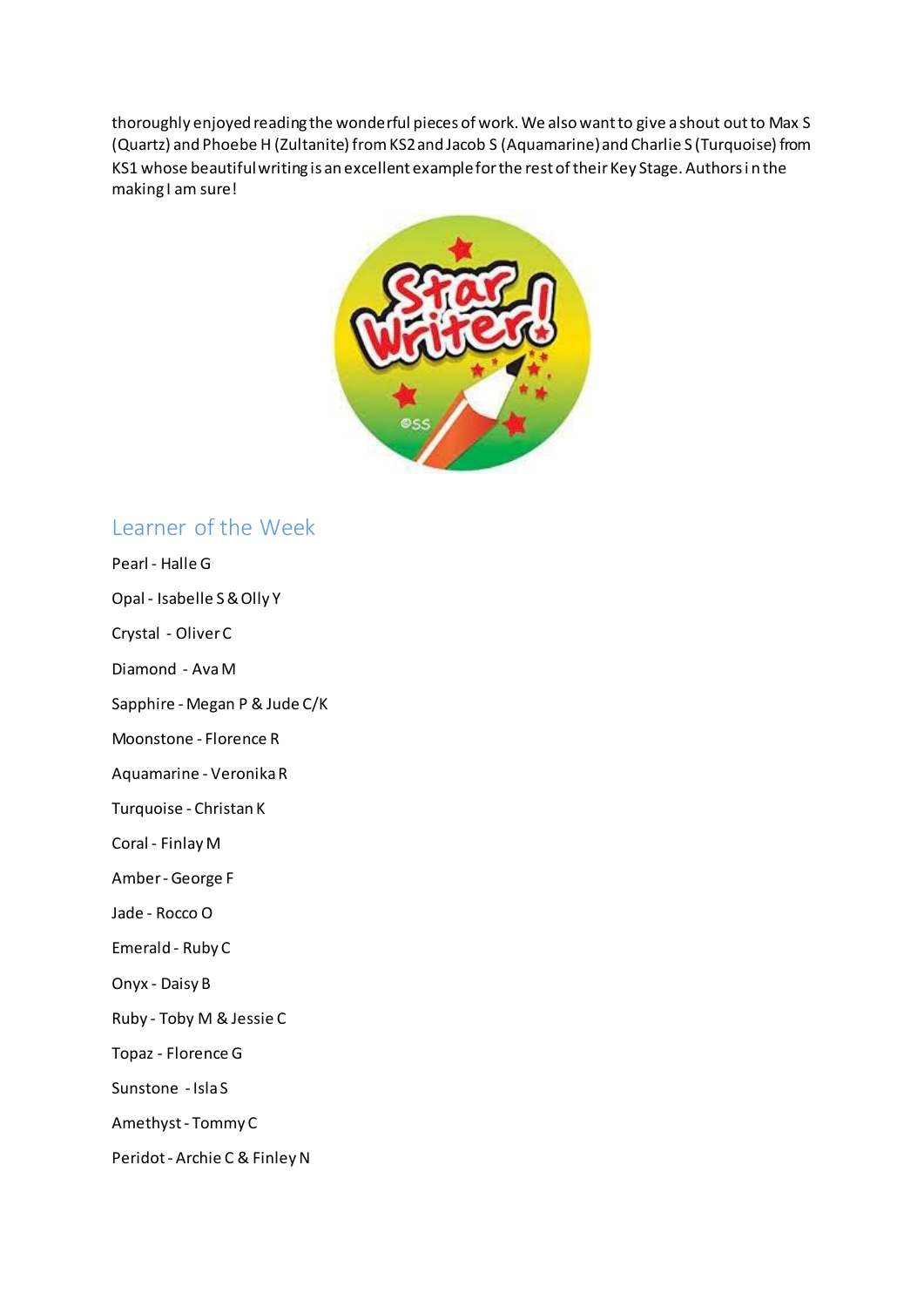thoroughly enjoyed reading the wonderful pieces of work. We also want to give a shout out to Max S (Quartz) and Phoebe H (Zultanite) from KS2 and Jacob S (Aquamarine) and Charlie S (Turquoise) from KS1 whose beautiful writing is an excellent example for the rest of their Key Stage. Authors i n the making I am sure!



## Learner of the Week

- Pearl Halle G
- Opal Isabelle S & Olly Y
- Crystal Oliver C
- Diamond Ava M
- Sapphire Megan P & Jude C/K
- Moonstone Florence R
- Aquamarine Veronika R
- Turquoise Christan K
- Coral Finlay M
- Amber George F
- Jade Rocco O
- Emerald Ruby C
- Onyx Daisy B
- Ruby Toby M & Jessie C
- Topaz Florence G
- Sunstone Isla S
- Amethyst Tommy C
- Peridot Archie C & Finley N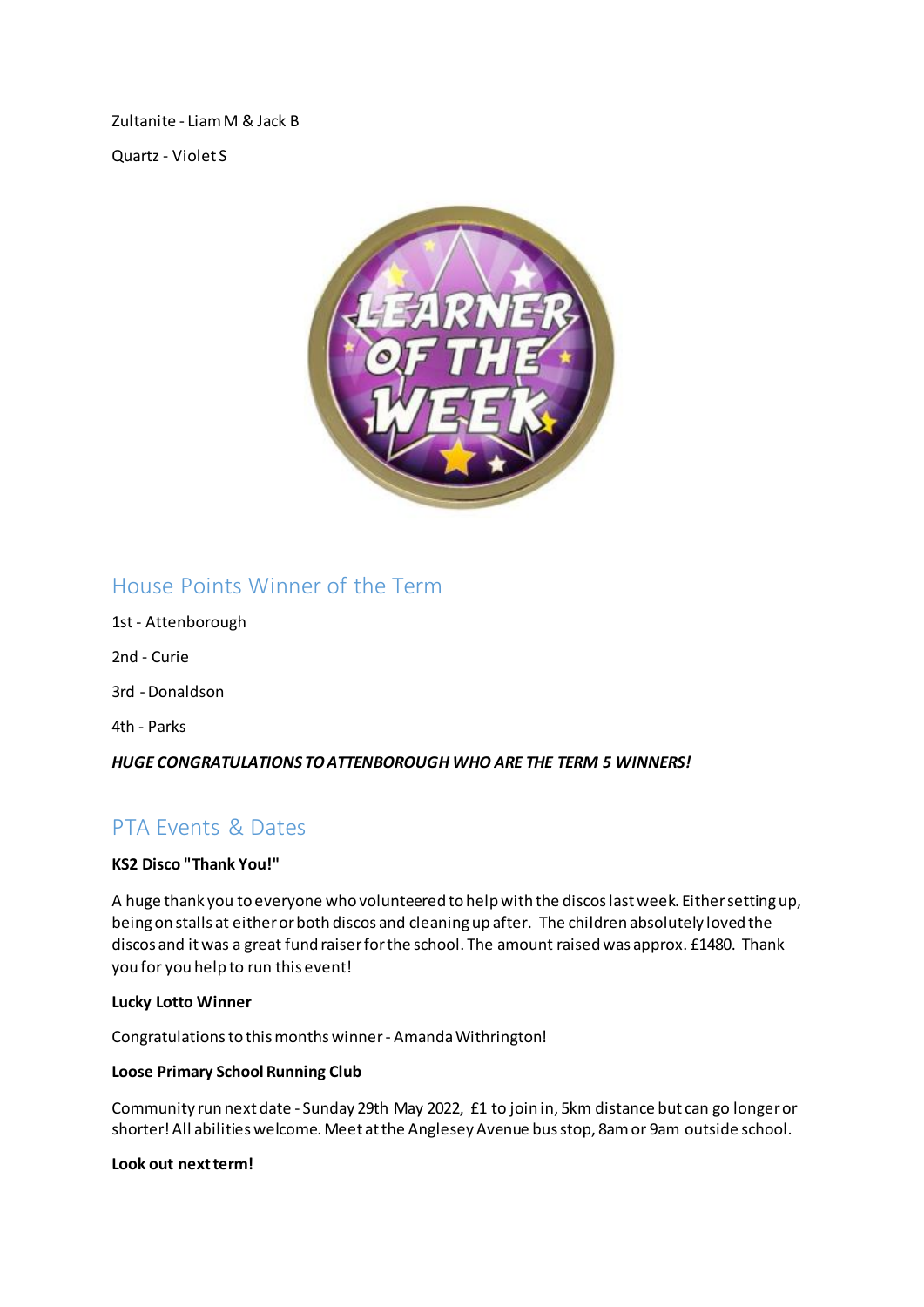Zultanite - Liam M & Jack B

Quartz - Violet S



## House Points Winner of the Term

- 1st Attenborough 2nd - Curie 3rd - Donaldson
- 4th Parks

#### *HUGE CONGRATULATIONS TO ATTENBOROUGH WHO ARE THE TERM 5 WINNERS!*

# PTA Events & Dates

#### **KS2 Disco "Thank You!"**

A huge thank you to everyone who volunteered to help with the discos last week. Either setting up, being on stalls at either or both discos and cleaning up after. The children absolutely loved the discos and it was a great fund raiser for the school. The amount raised was approx. £1480. Thank you for you help to run this event!

#### **Lucky Lotto Winner**

Congratulationsto this months winner - Amanda Withrington!

#### **Loose Primary School Running Club**

Community run next date - Sunday 29th May 2022, £1 to join in, 5km distance but can go longer or shorter! All abilities welcome. Meet at the Anglesey Avenue bus stop, 8am or 9am outside school.

#### **Look out next term!**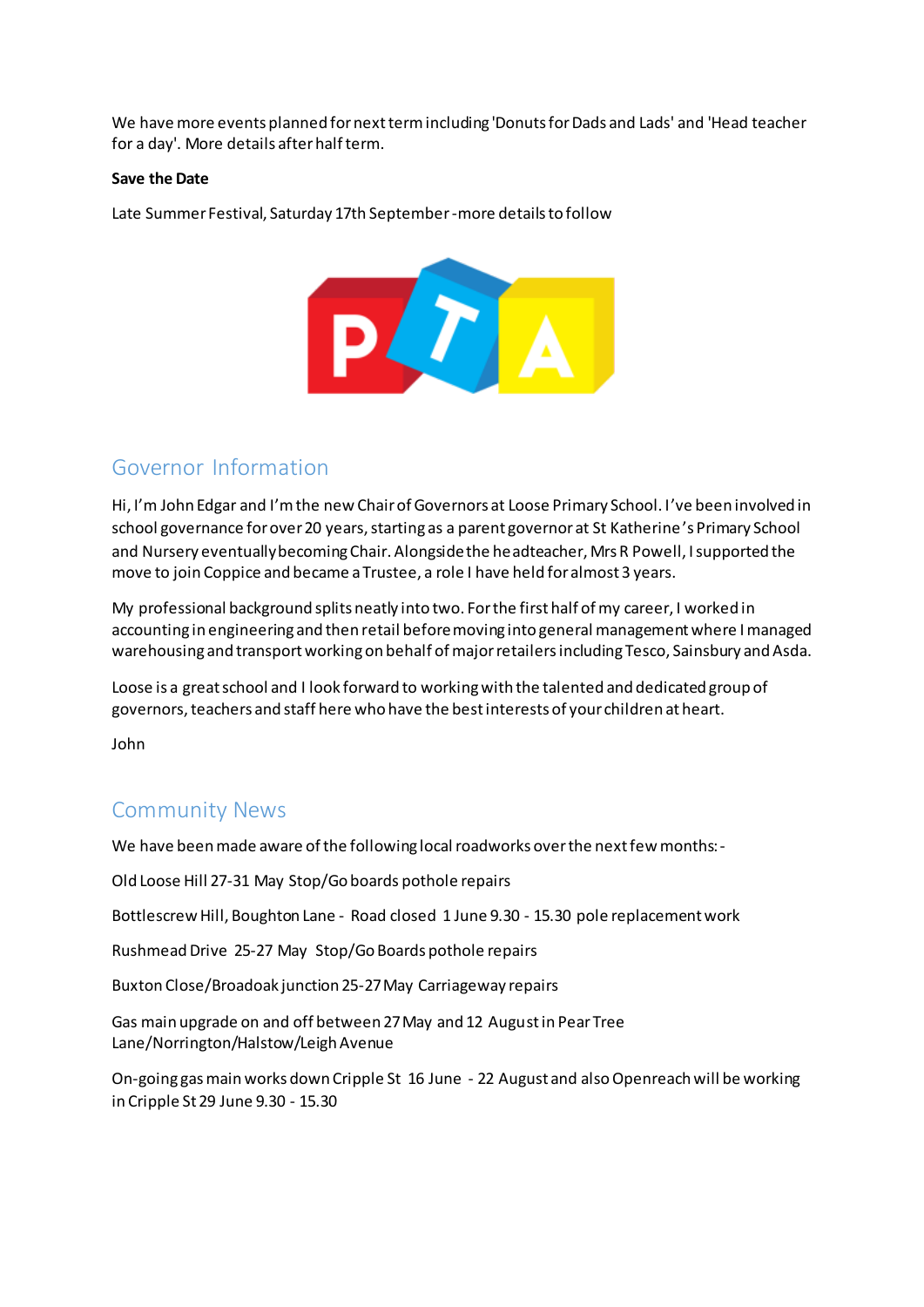We have more events planned for next term including 'Donuts for Dads and Lads' and 'Head teacher for a day'. More details after half term.

#### **Save the Date**

Late Summer Festival, Saturday 17th September-more details to follow



## Governor Information

Hi, I'm John Edgar and I'm the new Chair of Governors at Loose Primary School. I've been involved in school governance for over 20 years, starting as a parent governor at St Katherine's Primary School and Nursery eventually becoming Chair. Alongside the headteacher, Mrs R Powell, I supported the move to join Coppice and became a Trustee, a role I have held for almost 3 years.

My professional background splits neatly into two. For the first half of my career, I worked in accounting in engineering and then retail before moving into general management where I managed warehousing and transport working on behalf of major retailers including Tesco, Sainsbury and Asda.

Loose is a great school and I look forward to working with the talented and dedicated group of governors, teachers and staff here who have the best interests of your children at heart.

John

## Community News

We have been made aware of the following local roadworks over the next few months:-

Old Loose Hill 27-31 May Stop/Go boards pothole repairs

Bottlescrew Hill, Boughton Lane - Road closed 1 June 9.30 - 15.30 pole replacement work

Rushmead Drive 25-27 May Stop/Go Boards pothole repairs

Buxton Close/Broadoak junction 25-27 May Carriageway repairs

Gas main upgrade on and off between 27 May and 12 August in Pear Tree Lane/Norrington/Halstow/Leigh Avenue

On-going gas main works down Cripple St 16 June - 22 August and also Openreach will be working in Cripple St 29 June 9.30 - 15.30